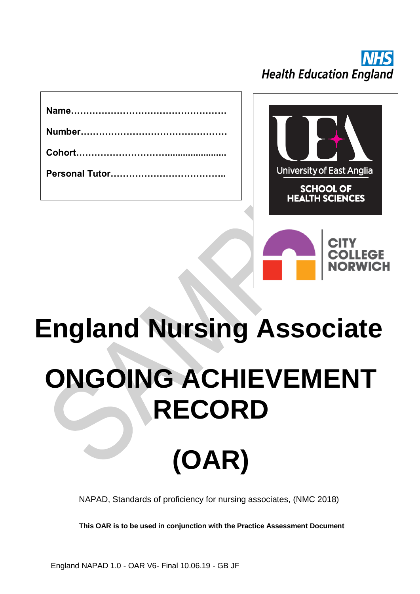

# **England Nursing Associate ONGOING ACHIEVEMENT RECORD**

## **(OAR)**

NAPAD, Standards of proficiency for nursing associates, (NMC 2018)

**This OAR is to be used in conjunction with the Practice Assessment Document**

England NAPAD 1.0 - OAR V6- Final 10.06.19 - GB JF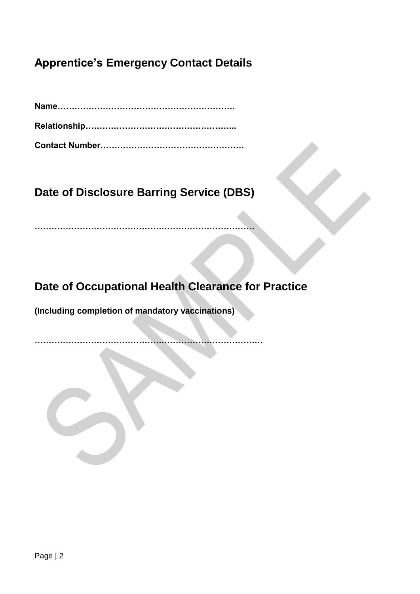## **Apprentice's Emergency Contact Details**

**Name……………………………………………………… Relationship……………………………………………... Contact Number……………………………………………**

**Date of Disclosure Barring Service (DBS)**

**……………………………………………………………………**

**Date of Occupational Health Clearance for Practice** 

**(Including completion of mandatory vaccinations)**

**………………………………………………………………………**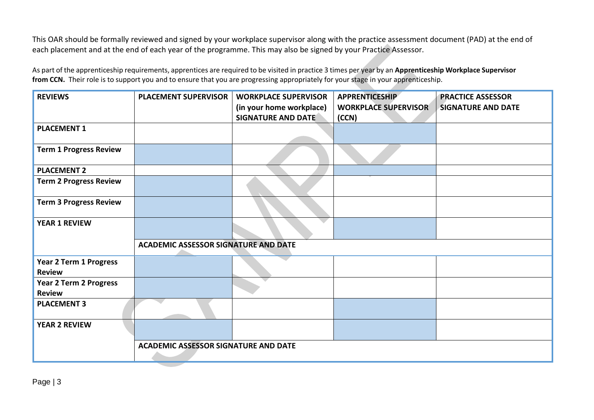This OAR should be formally reviewed and signed by your workplace supervisor along with the practice assessment document (PAD) at the end of each placement and at the end of each year of the programme. This may also be signed by your Practice Assessor.

As part of the apprenticeship requirements, apprentices are required to be visited in practice 3 times per year by an **Apprenticeship Workplace Supervisor from CCN.** Their role is to support you and to ensure that you are progressing appropriately for your stage in your apprenticeship.

| <b>REVIEWS</b>                                 | <b>PLACEMENT SUPERVISOR</b>                 | <b>WORKPLACE SUPERVISOR</b><br>(in your home workplace)<br><b>SIGNATURE AND DATE</b> | <b>APPRENTICESHIP</b><br><b>WORKPLACE SUPERVISOR</b><br>(CCN) | <b>PRACTICE ASSESSOR</b><br><b>SIGNATURE AND DATE</b> |
|------------------------------------------------|---------------------------------------------|--------------------------------------------------------------------------------------|---------------------------------------------------------------|-------------------------------------------------------|
| <b>PLACEMENT 1</b>                             |                                             |                                                                                      |                                                               |                                                       |
| <b>Term 1 Progress Review</b>                  |                                             |                                                                                      |                                                               |                                                       |
| <b>PLACEMENT 2</b>                             |                                             |                                                                                      |                                                               |                                                       |
| <b>Term 2 Progress Review</b>                  |                                             |                                                                                      |                                                               |                                                       |
| <b>Term 3 Progress Review</b>                  |                                             |                                                                                      |                                                               |                                                       |
| <b>YEAR 1 REVIEW</b>                           |                                             |                                                                                      |                                                               |                                                       |
|                                                | <b>ACADEMIC ASSESSOR SIGNATURE AND DATE</b> |                                                                                      |                                                               |                                                       |
| Year 2 Term 1 Progress<br><b>Review</b>        |                                             |                                                                                      |                                                               |                                                       |
| <b>Year 2 Term 2 Progress</b><br><b>Review</b> |                                             |                                                                                      |                                                               |                                                       |
| <b>PLACEMENT 3</b>                             |                                             |                                                                                      |                                                               |                                                       |
| <b>YEAR 2 REVIEW</b>                           |                                             |                                                                                      |                                                               |                                                       |
|                                                | <b>ACADEMIC ASSESSOR SIGNATURE AND DATE</b> |                                                                                      |                                                               |                                                       |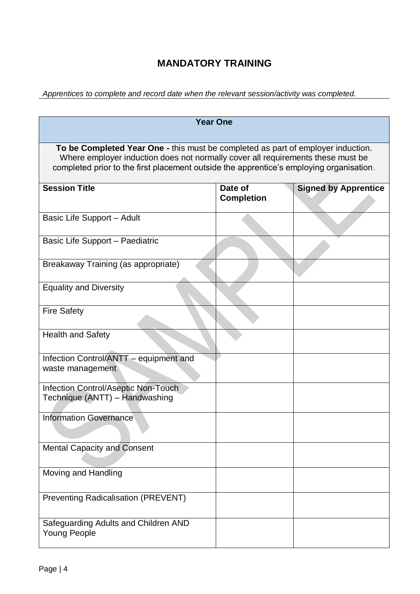### **MANDATORY TRAINING**

*Apprentices to complete and record date when the relevant session/activity was completed.* 

| <b>Year One</b>                                                                                                                                                                                                                                                |                              |                             |  |  |
|----------------------------------------------------------------------------------------------------------------------------------------------------------------------------------------------------------------------------------------------------------------|------------------------------|-----------------------------|--|--|
| To be Completed Year One - this must be completed as part of employer induction.<br>Where employer induction does not normally cover all requirements these must be<br>completed prior to the first placement outside the apprentice's employing organisation. |                              |                             |  |  |
| <b>Session Title</b>                                                                                                                                                                                                                                           | Date of<br><b>Completion</b> | <b>Signed by Apprentice</b> |  |  |
| Basic Life Support - Adult                                                                                                                                                                                                                                     |                              |                             |  |  |
| Basic Life Support - Paediatric                                                                                                                                                                                                                                |                              |                             |  |  |
| Breakaway Training (as appropriate)                                                                                                                                                                                                                            |                              |                             |  |  |
| <b>Equality and Diversity</b>                                                                                                                                                                                                                                  |                              |                             |  |  |
| <b>Fire Safety</b>                                                                                                                                                                                                                                             |                              |                             |  |  |
| <b>Health and Safety</b>                                                                                                                                                                                                                                       |                              |                             |  |  |
| Infection Control/ANTT - equipment and<br>waste management                                                                                                                                                                                                     |                              |                             |  |  |
| <b>Infection Control/Aseptic Non-Touch</b><br>Technique (ANTT) - Handwashing                                                                                                                                                                                   |                              |                             |  |  |
| <b>Information Governance</b>                                                                                                                                                                                                                                  |                              |                             |  |  |
| <b>Mental Capacity and Consent</b>                                                                                                                                                                                                                             |                              |                             |  |  |
| Moving and Handling                                                                                                                                                                                                                                            |                              |                             |  |  |
| <b>Preventing Radicalisation (PREVENT)</b>                                                                                                                                                                                                                     |                              |                             |  |  |
| Safeguarding Adults and Children AND<br><b>Young People</b>                                                                                                                                                                                                    |                              |                             |  |  |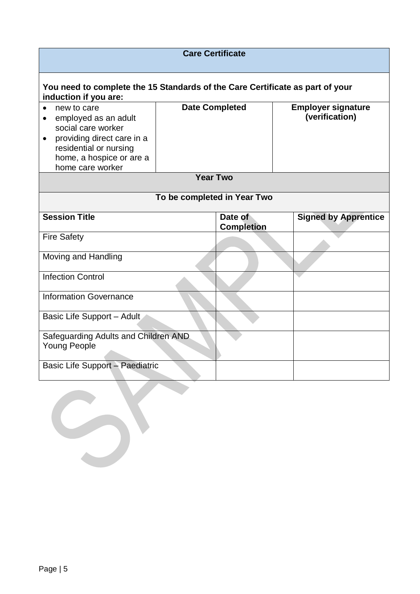| <b>Care Certificate</b>                                                                                                                                                     |                             |                              |                                             |  |
|-----------------------------------------------------------------------------------------------------------------------------------------------------------------------------|-----------------------------|------------------------------|---------------------------------------------|--|
| You need to complete the 15 Standards of the Care Certificate as part of your<br>induction if you are:                                                                      |                             |                              |                                             |  |
| new to care<br>employed as an adult<br>٠<br>social care worker<br>providing direct care in a<br>٠<br>residential or nursing<br>home, a hospice or are a<br>home care worker | <b>Date Completed</b>       |                              | <b>Employer signature</b><br>(verification) |  |
|                                                                                                                                                                             | <b>Year Two</b>             |                              |                                             |  |
|                                                                                                                                                                             | To be completed in Year Two |                              |                                             |  |
| <b>Session Title</b>                                                                                                                                                        |                             | Date of<br><b>Completion</b> | <b>Signed by Apprentice</b>                 |  |
| <b>Fire Safety</b>                                                                                                                                                          |                             |                              |                                             |  |
| Moving and Handling                                                                                                                                                         |                             |                              |                                             |  |
| <b>Infection Control</b>                                                                                                                                                    |                             |                              |                                             |  |
| <b>Information Governance</b>                                                                                                                                               |                             |                              |                                             |  |
| Basic Life Support - Adult                                                                                                                                                  |                             |                              |                                             |  |
| Safeguarding Adults and Children AND<br><b>Young People</b>                                                                                                                 |                             |                              |                                             |  |
| Basic Life Support - Paediatric                                                                                                                                             |                             |                              |                                             |  |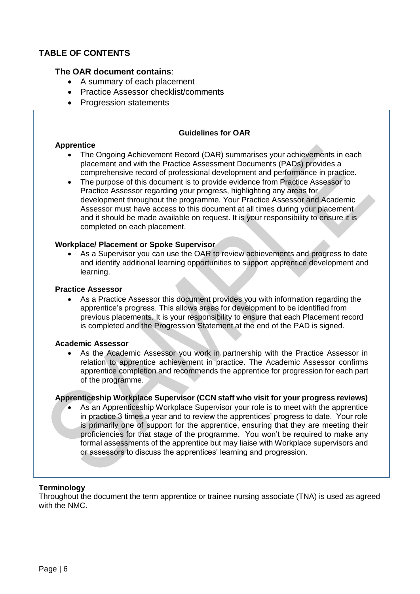#### **TABLE OF CONTENTS**

#### **The OAR document contains**:

- A summary of each placement
- Practice Assessor checklist/comments
- Progression statements

#### **Guidelines for OAR**

#### **Apprentice**

- The Ongoing Achievement Record (OAR) summarises your achievements in each placement and with the Practice Assessment Documents (PADs) provides a comprehensive record of professional development and performance in practice.
- The purpose of this document is to provide evidence from Practice Assessor to Practice Assessor regarding your progress, highlighting any areas for development throughout the programme. Your Practice Assessor and Academic Assessor must have access to this document at all times during your placement and it should be made available on request. It is your responsibility to ensure it is completed on each placement.

#### **Workplace/ Placement or Spoke Supervisor**

As a Supervisor you can use the OAR to review achievements and progress to date and identify additional learning opportunities to support apprentice development and learning.

#### **Practice Assessor**

• As a Practice Assessor this document provides you with information regarding the apprentice's progress. This allows areas for development to be identified from previous placements. It is your responsibility to ensure that each Placement record is completed and the Progression Statement at the end of the PAD is signed.

#### **Academic Assessor**

• As the Academic Assessor you work in partnership with the Practice Assessor in relation to apprentice achievement in practice. The Academic Assessor confirms apprentice completion and recommends the apprentice for progression for each part of the programme.

#### **Apprenticeship Workplace Supervisor (CCN staff who visit for your progress reviews)**

• As an Apprenticeship Workplace Supervisor your role is to meet with the apprentice in practice 3 times a year and to review the apprentices' progress to date. Your role is primarily one of support for the apprentice, ensuring that they are meeting their proficiencies for that stage of the programme. You won't be required to make any formal assessments of the apprentice but may liaise with Workplace supervisors and or assessors to discuss the apprentices' learning and progression.

#### **Terminology**

Throughout the document the term apprentice or trainee nursing associate (TNA) is used as agreed with the NMC.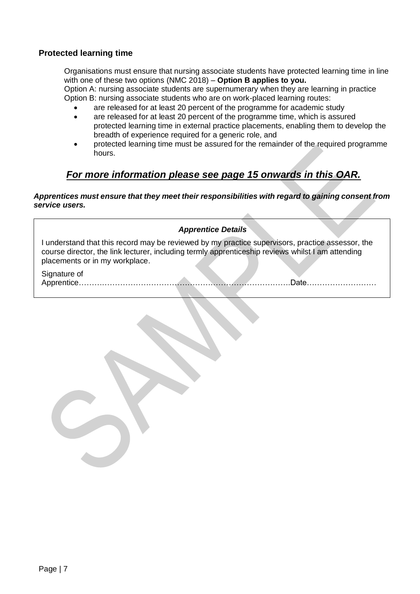#### **Protected learning time**

Organisations must ensure that nursing associate students have protected learning time in line with one of these two options (NMC 2018) – **Option B applies to you.** Option A: nursing associate students are supernumerary when they are learning in practice

Option B: nursing associate students who are on work-placed learning routes:

- are released for at least 20 percent of the programme for academic study
- are released for at least 20 percent of the programme time, which is assured protected learning time in external practice placements, enabling them to develop the breadth of experience required for a generic role, and
- protected learning time must be assured for the remainder of the required programme hours.

 $\mathcal{A}$  .

## *For more information please see page 15 onwards in this OAR.*

*Apprentices must ensure that they meet their responsibilities with regard to gaining consent from service users.*

| <b>Apprentice Details</b>                                                                                                                                                                                                               |
|-----------------------------------------------------------------------------------------------------------------------------------------------------------------------------------------------------------------------------------------|
| I understand that this record may be reviewed by my practice supervisors, practice assessor, the<br>course director, the link lecturer, including termly apprenticeship reviews whilst I am attending<br>placements or in my workplace. |
| Signature of<br>Apprentice.<br>∩ate                                                                                                                                                                                                     |
|                                                                                                                                                                                                                                         |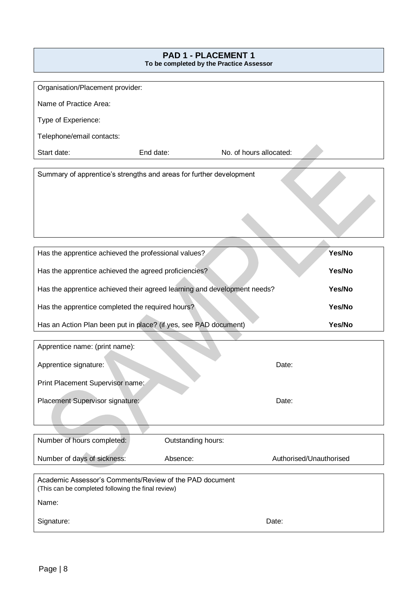## **PAD 1 - PLACEMENT 1 To be completed by the Practice Assessor** Organisation/Placement provider: Name of Practice Area: Type of Experience: Telephone/email contacts: Start date: End date: No. of hours allocated: Summary of apprentice's strengths and areas for further development Has the apprentice achieved the professional values? Has the apprentice achieved the agreed proficiencies? Has the apprentice achieved their agreed learning and development needs? Has the apprentice completed the required hours? Has an Action Plan been put in place? (if yes, see PAD document) **Yes/No Yes/No Yes/No Yes/No Yes/No** Apprentice name: (print name): Apprentice signature: Date: Print Placement Supervisor name:

Placement Supervisor signature: Date: Date: Date:

| Number of hours completed:                         | Outstanding hours:                                      |                         |
|----------------------------------------------------|---------------------------------------------------------|-------------------------|
|                                                    |                                                         |                         |
| Number of days of sickness:                        | Absence:                                                | Authorised/Unauthorised |
|                                                    |                                                         |                         |
|                                                    | Academic Assessor's Comments/Review of the PAD document |                         |
| (This can be completed following the final review) |                                                         |                         |
| Name:                                              |                                                         |                         |
|                                                    |                                                         |                         |
| Signature:                                         |                                                         | Date:                   |
|                                                    |                                                         |                         |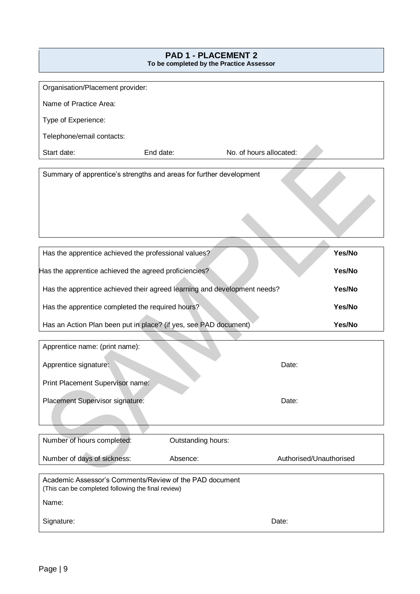#### **PAD 1 - PLACEMENT 2 To be completed by the Practice Assessor**

| Organisation/Placement provider: |                                                                          |                         |        |
|----------------------------------|--------------------------------------------------------------------------|-------------------------|--------|
| Name of Practice Area:           |                                                                          |                         |        |
| Type of Experience:              |                                                                          |                         |        |
| Telephone/email contacts:        |                                                                          |                         |        |
| Start date:                      | End date:                                                                | No. of hours allocated: |        |
|                                  |                                                                          |                         |        |
|                                  | Summary of apprentice's strengths and areas for further development      |                         |        |
|                                  | Has the apprentice achieved the professional values?                     |                         | Yes/No |
|                                  | Has the apprentice achieved the agreed proficiencies?                    |                         | Yes/No |
|                                  | Has the apprentice achieved their agreed learning and development needs? |                         | Yes/No |
|                                  | Has the apprentice completed the required hours?                         |                         | Yes/No |
|                                  | Has an Action Plan been put in place? (if yes, see PAD document)         |                         | Yes/No |

| Apprentice name: (print name):   |       |
|----------------------------------|-------|
| Apprentice signature:            | Date: |
| Print Placement Supervisor name: |       |
| Placement Supervisor signature:  | Date: |
|                                  |       |

| Number of hours completed:                                                                                    | Outstanding hours: |                         |
|---------------------------------------------------------------------------------------------------------------|--------------------|-------------------------|
| Number of days of sickness:                                                                                   | Absence:           | Authorised/Unauthorised |
|                                                                                                               |                    |                         |
| Academic Assessor's Comments/Review of the PAD document<br>(This can be completed following the final review) |                    |                         |
| Name:                                                                                                         |                    |                         |
| Signature:                                                                                                    |                    | Date:                   |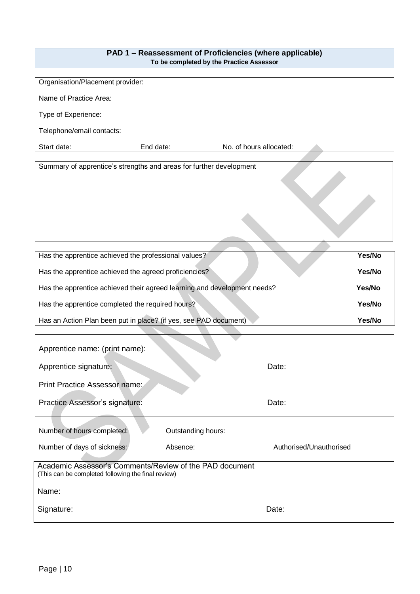| PAD 1 – Reassessment of Proficiencies (where applicable) |
|----------------------------------------------------------|
| To be completed by the Practice Assessor                 |

| Organisation/Placement provider:                                                                              |                    |                         |        |
|---------------------------------------------------------------------------------------------------------------|--------------------|-------------------------|--------|
| Name of Practice Area:                                                                                        |                    |                         |        |
| Type of Experience:                                                                                           |                    |                         |        |
| Telephone/email contacts:                                                                                     |                    |                         |        |
| Start date:                                                                                                   | End date:          | No. of hours allocated: |        |
| Summary of apprentice's strengths and areas for further development                                           |                    |                         |        |
|                                                                                                               |                    |                         |        |
|                                                                                                               |                    |                         |        |
|                                                                                                               |                    |                         |        |
|                                                                                                               |                    |                         |        |
|                                                                                                               |                    |                         |        |
| Has the apprentice achieved the professional values?                                                          |                    |                         | Yes/No |
| Has the apprentice achieved the agreed proficiencies?                                                         |                    |                         | Yes/No |
| Has the apprentice achieved their agreed learning and development needs?                                      |                    |                         | Yes/No |
| Has the apprentice completed the required hours?                                                              |                    |                         | Yes/No |
| Has an Action Plan been put in place? (if yes, see PAD document)                                              |                    |                         | Yes/No |
|                                                                                                               |                    |                         |        |
| Apprentice name: (print name):                                                                                |                    |                         |        |
| Apprentice signature:                                                                                         |                    | Date:                   |        |
| Print Practice Assessor name:                                                                                 |                    |                         |        |
|                                                                                                               |                    |                         |        |
| Practice Assessor's signature:                                                                                |                    | Date:                   |        |
| Number of hours completed:                                                                                    | Outstanding hours: |                         |        |
|                                                                                                               | Absence:           | Authorised/Unauthorised |        |
| Number of days of sickness:                                                                                   |                    |                         |        |
| Academic Assessor's Comments/Review of the PAD document<br>(This can be completed following the final review) |                    |                         |        |
| Name:                                                                                                         |                    |                         |        |
| Signature:                                                                                                    |                    | Date:                   |        |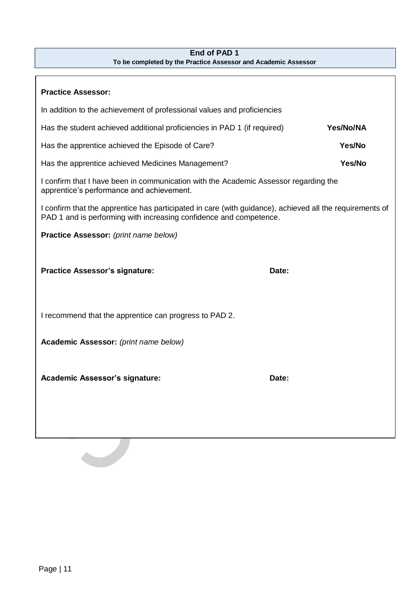#### **End of PAD 1 To be completed by the Practice Assessor and Academic Assessor**

| <b>Practice Assessor:</b>                                                                                                                                                      |           |  |  |
|--------------------------------------------------------------------------------------------------------------------------------------------------------------------------------|-----------|--|--|
| In addition to the achievement of professional values and proficiencies                                                                                                        |           |  |  |
| Has the student achieved additional proficiencies in PAD 1 (if required)                                                                                                       | Yes/No/NA |  |  |
| Has the apprentice achieved the Episode of Care?                                                                                                                               | Yes/No    |  |  |
| Has the apprentice achieved Medicines Management?                                                                                                                              | Yes/No    |  |  |
| I confirm that I have been in communication with the Academic Assessor regarding the<br>apprentice's performance and achievement.                                              |           |  |  |
| I confirm that the apprentice has participated in care (with guidance), achieved all the requirements of<br>PAD 1 and is performing with increasing confidence and competence. |           |  |  |
| Practice Assessor: (print name below)                                                                                                                                          |           |  |  |
| <b>Practice Assessor's signature:</b>                                                                                                                                          | Date:     |  |  |
| I recommend that the apprentice can progress to PAD 2.                                                                                                                         |           |  |  |
| Academic Assessor: (print name below)                                                                                                                                          |           |  |  |
| <b>Academic Assessor's signature:</b>                                                                                                                                          | Date:     |  |  |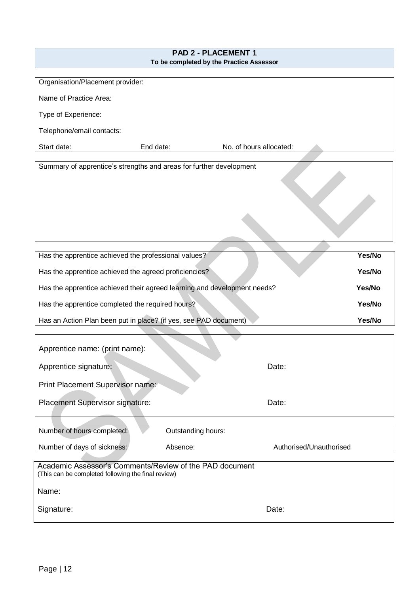| PAD 2 - PLACEMENT 1<br>To be completed by the Practice Assessor                                               |                    |                         |        |  |  |  |  |  |
|---------------------------------------------------------------------------------------------------------------|--------------------|-------------------------|--------|--|--|--|--|--|
|                                                                                                               |                    |                         |        |  |  |  |  |  |
| Organisation/Placement provider:                                                                              |                    |                         |        |  |  |  |  |  |
| Name of Practice Area:                                                                                        |                    |                         |        |  |  |  |  |  |
| Type of Experience:                                                                                           |                    |                         |        |  |  |  |  |  |
| Telephone/email contacts:                                                                                     |                    |                         |        |  |  |  |  |  |
| Start date:<br>End date:                                                                                      |                    | No. of hours allocated: |        |  |  |  |  |  |
| Summary of apprentice's strengths and areas for further development                                           |                    |                         |        |  |  |  |  |  |
|                                                                                                               |                    |                         |        |  |  |  |  |  |
| Has the apprentice achieved the professional values?                                                          |                    |                         | Yes/No |  |  |  |  |  |
| Has the apprentice achieved the agreed proficiencies?                                                         |                    |                         | Yes/No |  |  |  |  |  |
| Has the apprentice achieved their agreed learning and development needs?                                      |                    |                         | Yes/No |  |  |  |  |  |
| Has the apprentice completed the required hours?                                                              |                    |                         | Yes/No |  |  |  |  |  |
| Has an Action Plan been put in place? (if yes, see PAD document)                                              |                    |                         | Yes/No |  |  |  |  |  |
|                                                                                                               |                    |                         |        |  |  |  |  |  |
| Apprentice name: (print name):                                                                                |                    |                         |        |  |  |  |  |  |
| Apprentice signature:                                                                                         |                    | Date:                   |        |  |  |  |  |  |
| Print Placement Supervisor name:                                                                              |                    |                         |        |  |  |  |  |  |
| <b>Placement Supervisor signature:</b>                                                                        |                    | Date:                   |        |  |  |  |  |  |
| Number of hours completed:                                                                                    | Outstanding hours: |                         |        |  |  |  |  |  |
| Number of days of sickness:                                                                                   | Absence:           | Authorised/Unauthorised |        |  |  |  |  |  |
| Academic Assessor's Comments/Review of the PAD document<br>(This can be completed following the final review) |                    |                         |        |  |  |  |  |  |
| Name:                                                                                                         |                    |                         |        |  |  |  |  |  |
| Signature:                                                                                                    |                    | Date:                   |        |  |  |  |  |  |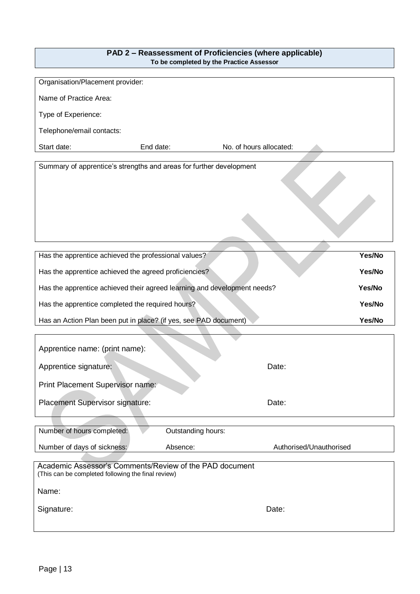| PAD 2 – Reassessment of Proficiencies (where applicable) |
|----------------------------------------------------------|
| To be completed by the Practice Assessor                 |

| Organisation/Placement provider:                                         |                    |                         |        |
|--------------------------------------------------------------------------|--------------------|-------------------------|--------|
| Name of Practice Area:                                                   |                    |                         |        |
| Type of Experience:                                                      |                    |                         |        |
| Telephone/email contacts:                                                |                    |                         |        |
| Start date:                                                              | End date:          | No. of hours allocated: |        |
| Summary of apprentice's strengths and areas for further development      |                    |                         |        |
|                                                                          |                    |                         |        |
|                                                                          |                    |                         |        |
|                                                                          |                    |                         |        |
|                                                                          |                    |                         |        |
|                                                                          |                    |                         |        |
| Has the apprentice achieved the professional values?                     |                    |                         | Yes/No |
| Has the apprentice achieved the agreed proficiencies?                    |                    |                         | Yes/No |
| Has the apprentice achieved their agreed learning and development needs? |                    |                         | Yes/No |
| Has the apprentice completed the required hours?                         |                    |                         | Yes/No |
| Has an Action Plan been put in place? (if yes, see PAD document)         |                    |                         | Yes/No |
|                                                                          |                    |                         |        |
| Apprentice name: (print name):                                           |                    |                         |        |
| Apprentice signature:                                                    |                    | Date:                   |        |
| Print Placement Supervisor name:                                         |                    |                         |        |
| Placement Supervisor signature:                                          |                    | Date:                   |        |
|                                                                          |                    |                         |        |
| Number of hours completed:                                               | Outstanding hours: |                         |        |
| Number of days of sickness:                                              | Absence:           | Authorised/Unauthorised |        |
| Academic Assessor's Comments/Review of the PAD document                  |                    |                         |        |
| (This can be completed following the final review)                       |                    |                         |        |
| Name:                                                                    |                    |                         |        |
| Signature:                                                               |                    | Date:                   |        |
|                                                                          |                    |                         |        |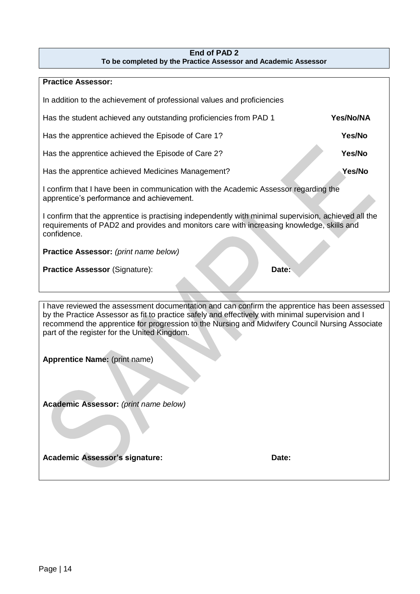#### **End of PAD 2 To be completed by the Practice Assessor and Academic Assessor**

| <b>Practice Assessor:</b>                                                                                                                                                                                                                                                                                                                             |           |  |  |  |  |  |  |  |
|-------------------------------------------------------------------------------------------------------------------------------------------------------------------------------------------------------------------------------------------------------------------------------------------------------------------------------------------------------|-----------|--|--|--|--|--|--|--|
| In addition to the achievement of professional values and proficiencies                                                                                                                                                                                                                                                                               |           |  |  |  |  |  |  |  |
| Has the student achieved any outstanding proficiencies from PAD 1                                                                                                                                                                                                                                                                                     | Yes/No/NA |  |  |  |  |  |  |  |
| Has the apprentice achieved the Episode of Care 1?                                                                                                                                                                                                                                                                                                    | Yes/No    |  |  |  |  |  |  |  |
| Has the apprentice achieved the Episode of Care 2?                                                                                                                                                                                                                                                                                                    | Yes/No    |  |  |  |  |  |  |  |
| Has the apprentice achieved Medicines Management?                                                                                                                                                                                                                                                                                                     | Yes/No    |  |  |  |  |  |  |  |
| I confirm that I have been in communication with the Academic Assessor regarding the<br>apprentice's performance and achievement.                                                                                                                                                                                                                     |           |  |  |  |  |  |  |  |
| I confirm that the apprentice is practising independently with minimal supervision, achieved all the<br>requirements of PAD2 and provides and monitors care with increasing knowledge, skills and<br>confidence.                                                                                                                                      |           |  |  |  |  |  |  |  |
| Practice Assessor: (print name below)                                                                                                                                                                                                                                                                                                                 |           |  |  |  |  |  |  |  |
| <b>Practice Assessor (Signature):</b><br>Date:                                                                                                                                                                                                                                                                                                        |           |  |  |  |  |  |  |  |
|                                                                                                                                                                                                                                                                                                                                                       |           |  |  |  |  |  |  |  |
|                                                                                                                                                                                                                                                                                                                                                       |           |  |  |  |  |  |  |  |
| I have reviewed the assessment documentation and can confirm the apprentice has been assessed<br>by the Practice Assessor as fit to practice safely and effectively with minimal supervision and I<br>recommend the apprentice for progression to the Nursing and Midwifery Council Nursing Associate<br>part of the register for the United Kingdom. |           |  |  |  |  |  |  |  |
| Apprentice Name: (print name)                                                                                                                                                                                                                                                                                                                         |           |  |  |  |  |  |  |  |
|                                                                                                                                                                                                                                                                                                                                                       |           |  |  |  |  |  |  |  |

**Academic Assessor:** *(print name below)*

Academic Assessor's signature: Date: Date: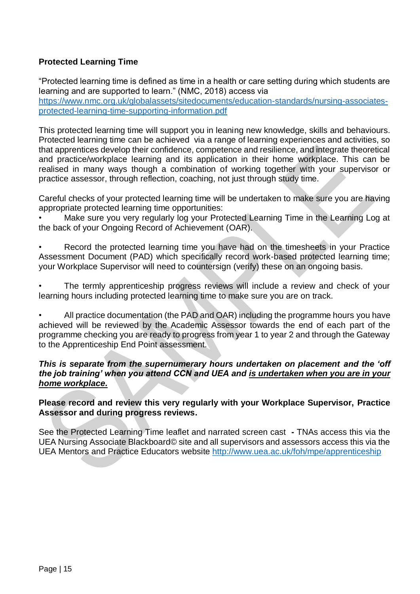#### **Protected Learning Time**

"Protected learning time is defined as time in a health or care setting during which students are learning and are supported to learn." (NMC, 2018) access via [https://www.nmc.org.uk/globalassets/sitedocuments/education-standards/nursing-associates](https://www.nmc.org.uk/globalassets/sitedocuments/education-standards/nursing-associates-protected-learning-time-supporting-information.pdf)[protected-learning-time-supporting-information.pdf](https://www.nmc.org.uk/globalassets/sitedocuments/education-standards/nursing-associates-protected-learning-time-supporting-information.pdf)

This protected learning time will support you in leaning new knowledge, skills and behaviours. Protected learning time can be achieved via a range of learning experiences and activities, so that apprentices develop their confidence, competence and resilience, and integrate theoretical and practice/workplace learning and its application in their home workplace. This can be realised in many ways though a combination of working together with your supervisor or practice assessor, through reflection, coaching, not just through study time.

Careful checks of your protected learning time will be undertaken to make sure you are having appropriate protected learning time opportunities:

• Make sure you very regularly log your Protected Learning Time in the Learning Log at the back of your Ongoing Record of Achievement (OAR).

Record the protected learning time you have had on the timesheets in your Practice Assessment Document (PAD) which specifically record work-based protected learning time; your Workplace Supervisor will need to countersign (verify) these on an ongoing basis.

The termly apprenticeship progress reviews will include a review and check of your learning hours including protected learning time to make sure you are on track.

• All practice documentation (the PAD and OAR) including the programme hours you have achieved will be reviewed by the Academic Assessor towards the end of each part of the programme checking you are ready to progress from year 1 to year 2 and through the Gateway to the Apprenticeship End Point assessment.

#### *This is separate from the supernumerary hours undertaken on placement and the 'off the job training' when you attend CCN and UEA and is undertaken when you are in your home workplace.*

#### **Please record and review this very regularly with your Workplace Supervisor, Practice Assessor and during progress reviews.**

See the Protected Learning Time leaflet and narrated screen cast **-** TNAs access this via the UEA Nursing Associate Blackboard© site and all supervisors and assessors access this via the UEA Mentors and Practice Educators website <http://www.uea.ac.uk/foh/mpe/apprenticeship>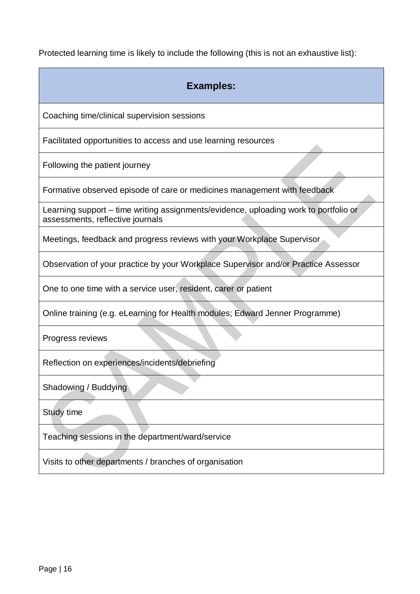Protected learning time is likely to include the following (this is not an exhaustive list):

| <b>Examples:</b>                                                                                                         |
|--------------------------------------------------------------------------------------------------------------------------|
| Coaching time/clinical supervision sessions                                                                              |
| Facilitated opportunities to access and use learning resources                                                           |
| Following the patient journey                                                                                            |
| Formative observed episode of care or medicines management with feedback                                                 |
| Learning support - time writing assignments/evidence, uploading work to portfolio or<br>assessments, reflective journals |
| Meetings, feedback and progress reviews with your Workplace Supervisor                                                   |
| Observation of your practice by your Workplace Supervisor and/or Practice Assessor                                       |
| One to one time with a service user, resident, carer or patient                                                          |
| Online training (e.g. eLearning for Health modules; Edward Jenner Programme)                                             |
| Progress reviews                                                                                                         |
| Reflection on experiences/incidents/debriefing                                                                           |
| Shadowing / Buddying                                                                                                     |
| Study time                                                                                                               |
| Teaching sessions in the department/ward/service                                                                         |
| Visits to other departments / branches of organisation                                                                   |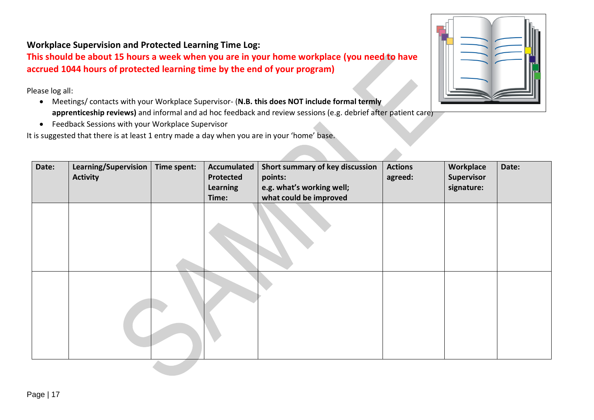#### **Workplace Supervision and Protected Learning Time Log:**

**This should be about 15 hours a week when you are in your home workplace (you need to have accrued 1044 hours of protected learning time by the end of your program)**

Please log all:

- Meetings/ contacts with your Workplace Supervisor- (**N.B. this does NOT include formal termly apprenticeship reviews)** and informal and ad hoc feedback and review sessions (e.g. debrief after patient care)
- Feedback Sessions with your Workplace Supervisor

It is suggested that there is at least 1 entry made a day when you are in your 'home' base.



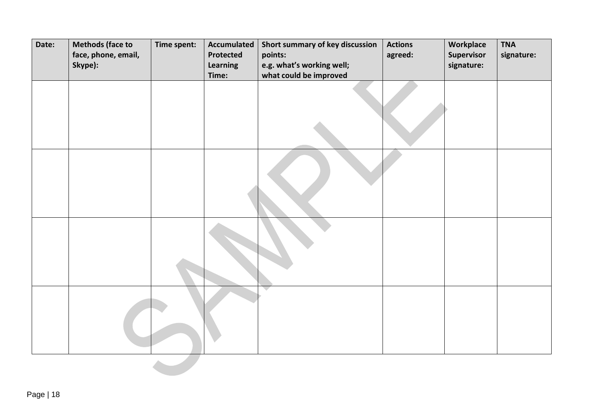| Date: | <b>Methods (face to</b><br>face, phone, email,<br>Skype): | Time spent: | <b>Accumulated</b><br>Protected<br>Learning<br>Time: | Short summary of key discussion<br>points:<br>e.g. what's working well;<br>what could be improved | <b>Actions</b><br>agreed: | Workplace<br>Supervisor<br>signature: | <b>TNA</b><br>signature: |
|-------|-----------------------------------------------------------|-------------|------------------------------------------------------|---------------------------------------------------------------------------------------------------|---------------------------|---------------------------------------|--------------------------|
|       |                                                           |             |                                                      |                                                                                                   |                           |                                       |                          |
|       |                                                           |             |                                                      |                                                                                                   |                           |                                       |                          |
|       |                                                           |             |                                                      |                                                                                                   |                           |                                       |                          |
|       |                                                           |             |                                                      |                                                                                                   |                           |                                       |                          |
|       |                                                           |             |                                                      |                                                                                                   |                           |                                       |                          |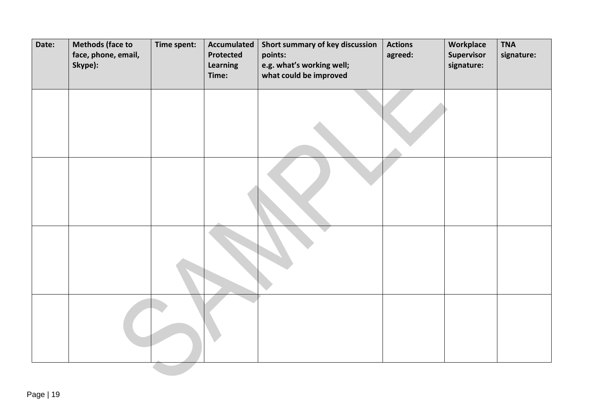| Date: | <b>Methods (face to</b><br>face, phone, email,<br>Skype): | Time spent: | <b>Accumulated</b><br>Protected<br>Learning<br>Time: | Short summary of key discussion<br>points:<br>e.g. what's working well;<br>what could be improved | <b>Actions</b><br>agreed: | Workplace<br>Supervisor<br>signature: | <b>TNA</b><br>signature: |
|-------|-----------------------------------------------------------|-------------|------------------------------------------------------|---------------------------------------------------------------------------------------------------|---------------------------|---------------------------------------|--------------------------|
|       |                                                           |             |                                                      |                                                                                                   |                           |                                       |                          |
|       |                                                           |             |                                                      |                                                                                                   |                           |                                       |                          |
|       |                                                           |             |                                                      |                                                                                                   |                           |                                       |                          |
|       |                                                           |             |                                                      |                                                                                                   |                           |                                       |                          |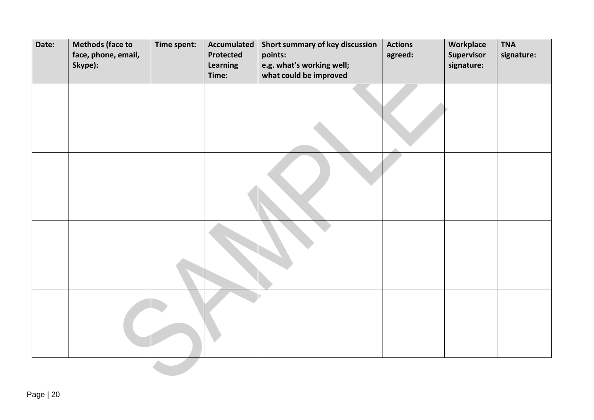| Date: | <b>Methods (face to</b><br>face, phone, email,<br>Skype): | Time spent: | <b>Accumulated</b><br>Protected<br>Learning<br>Time: | Short summary of key discussion<br>points:<br>e.g. what's working well;<br>what could be improved | <b>Actions</b><br>agreed: | Workplace<br>Supervisor<br>signature: | <b>TNA</b><br>signature: |
|-------|-----------------------------------------------------------|-------------|------------------------------------------------------|---------------------------------------------------------------------------------------------------|---------------------------|---------------------------------------|--------------------------|
|       |                                                           |             |                                                      |                                                                                                   |                           |                                       |                          |
|       |                                                           |             |                                                      |                                                                                                   |                           |                                       |                          |
|       |                                                           |             |                                                      |                                                                                                   |                           |                                       |                          |
|       |                                                           |             |                                                      |                                                                                                   |                           |                                       |                          |
|       |                                                           |             |                                                      |                                                                                                   |                           |                                       |                          |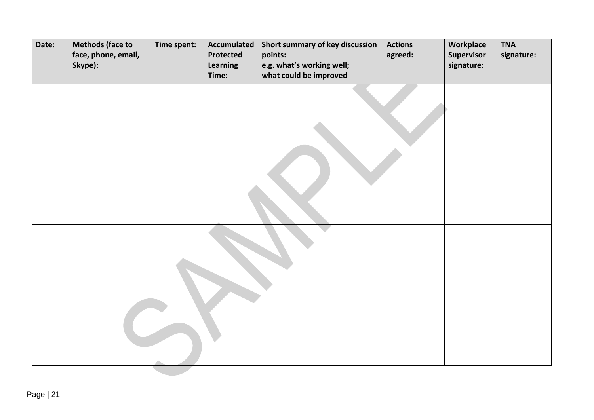| Date: | <b>Methods (face to</b><br>face, phone, email,<br>Skype): | Time spent: | <b>Accumulated</b><br>Protected<br>Learning<br>Time: | Short summary of key discussion<br>points:<br>e.g. what's working well;<br>what could be improved | <b>Actions</b><br>agreed: | Workplace<br>Supervisor<br>signature: | <b>TNA</b><br>signature: |
|-------|-----------------------------------------------------------|-------------|------------------------------------------------------|---------------------------------------------------------------------------------------------------|---------------------------|---------------------------------------|--------------------------|
|       |                                                           |             |                                                      |                                                                                                   |                           |                                       |                          |
|       |                                                           |             |                                                      |                                                                                                   |                           |                                       |                          |
|       |                                                           |             |                                                      |                                                                                                   |                           |                                       |                          |
|       |                                                           |             |                                                      |                                                                                                   |                           |                                       |                          |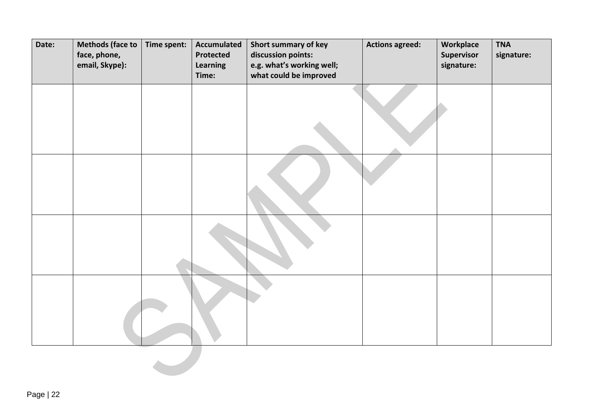| Date: | <b>Methods (face to</b><br>face, phone,<br>email, Skype): | Time spent: | <b>Accumulated</b><br><b>Protected</b><br>Learning<br>Time: | Short summary of key<br>discussion points:<br>e.g. what's working well;<br>what could be improved | <b>Actions agreed:</b> | Workplace<br>Supervisor<br>signature: | <b>TNA</b><br>signature: |
|-------|-----------------------------------------------------------|-------------|-------------------------------------------------------------|---------------------------------------------------------------------------------------------------|------------------------|---------------------------------------|--------------------------|
|       |                                                           |             |                                                             |                                                                                                   |                        |                                       |                          |
|       |                                                           |             |                                                             |                                                                                                   |                        |                                       |                          |
|       |                                                           |             |                                                             |                                                                                                   |                        |                                       |                          |
|       |                                                           |             |                                                             |                                                                                                   |                        |                                       |                          |
|       |                                                           |             |                                                             |                                                                                                   |                        |                                       |                          |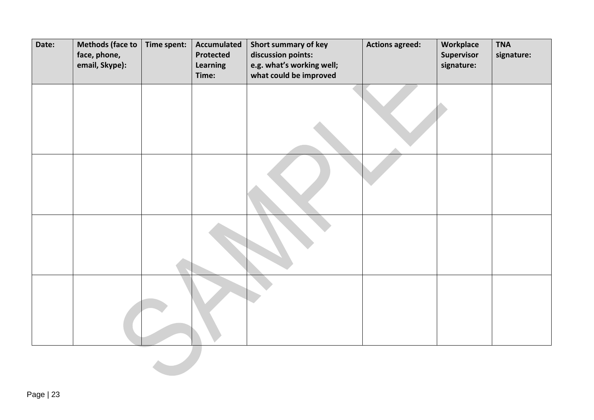| Date: | <b>Methods (face to</b><br>face, phone,<br>email, Skype): | Time spent: | <b>Accumulated</b><br>Protected<br>Learning<br>Time: | Short summary of key<br>discussion points:<br>e.g. what's working well;<br>what could be improved | <b>Actions agreed:</b> | Workplace<br>Supervisor<br>signature: | <b>TNA</b><br>signature: |
|-------|-----------------------------------------------------------|-------------|------------------------------------------------------|---------------------------------------------------------------------------------------------------|------------------------|---------------------------------------|--------------------------|
|       |                                                           |             |                                                      |                                                                                                   |                        |                                       |                          |
|       |                                                           |             |                                                      |                                                                                                   |                        |                                       |                          |
|       |                                                           |             |                                                      |                                                                                                   |                        |                                       |                          |
|       |                                                           |             |                                                      |                                                                                                   |                        |                                       |                          |
|       |                                                           |             |                                                      |                                                                                                   |                        |                                       |                          |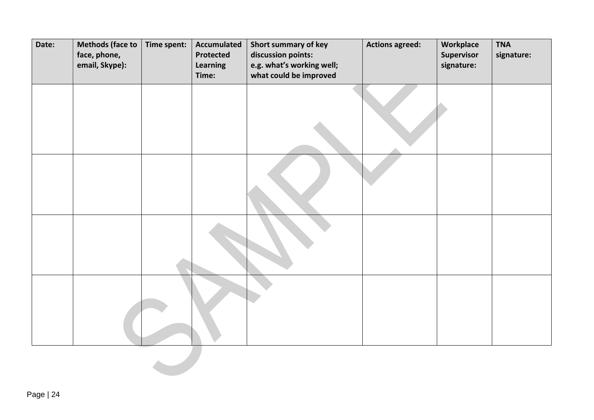| Date: | <b>Methods (face to</b><br>face, phone,<br>email, Skype): | Time spent: | <b>Accumulated</b><br>Protected<br>Learning<br>Time: | Short summary of key<br>discussion points:<br>e.g. what's working well;<br>what could be improved | <b>Actions agreed:</b> | Workplace<br>Supervisor<br>signature: | <b>TNA</b><br>signature: |
|-------|-----------------------------------------------------------|-------------|------------------------------------------------------|---------------------------------------------------------------------------------------------------|------------------------|---------------------------------------|--------------------------|
|       |                                                           |             |                                                      |                                                                                                   |                        |                                       |                          |
|       |                                                           |             |                                                      |                                                                                                   |                        |                                       |                          |
|       |                                                           |             |                                                      |                                                                                                   |                        |                                       |                          |
|       |                                                           |             |                                                      |                                                                                                   |                        |                                       |                          |
|       |                                                           |             |                                                      |                                                                                                   |                        |                                       |                          |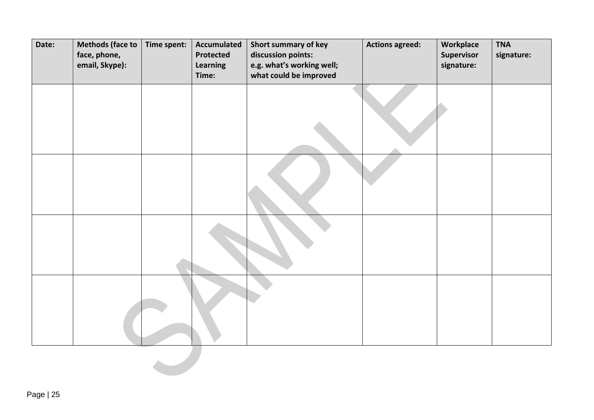| Date: | <b>Methods (face to</b><br>face, phone,<br>email, Skype): | Time spent: | <b>Accumulated</b><br>Protected<br>Learning<br>Time: | Short summary of key<br>discussion points:<br>e.g. what's working well;<br>what could be improved | <b>Actions agreed:</b> | Workplace<br>Supervisor<br>signature: | <b>TNA</b><br>signature: |
|-------|-----------------------------------------------------------|-------------|------------------------------------------------------|---------------------------------------------------------------------------------------------------|------------------------|---------------------------------------|--------------------------|
|       |                                                           |             |                                                      |                                                                                                   |                        |                                       |                          |
|       |                                                           |             |                                                      |                                                                                                   |                        |                                       |                          |
|       |                                                           |             |                                                      |                                                                                                   |                        |                                       |                          |
|       |                                                           |             |                                                      |                                                                                                   |                        |                                       |                          |
|       |                                                           |             |                                                      |                                                                                                   |                        |                                       |                          |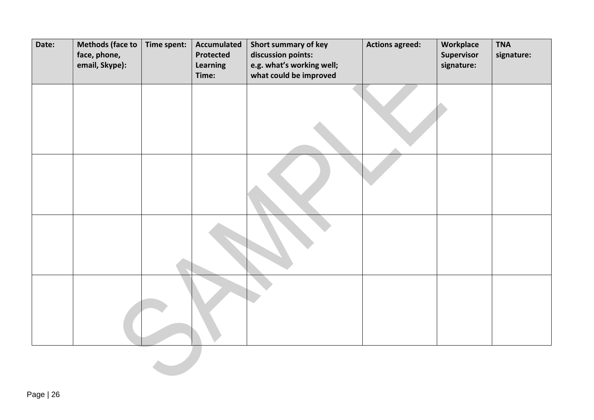| Date: | <b>Methods (face to</b><br>face, phone,<br>email, Skype): | Time spent: | <b>Accumulated</b><br><b>Protected</b><br>Learning<br>Time: | Short summary of key<br>discussion points:<br>e.g. what's working well;<br>what could be improved | <b>Actions agreed:</b> | Workplace<br>Supervisor<br>signature: | <b>TNA</b><br>signature: |
|-------|-----------------------------------------------------------|-------------|-------------------------------------------------------------|---------------------------------------------------------------------------------------------------|------------------------|---------------------------------------|--------------------------|
|       |                                                           |             |                                                             |                                                                                                   |                        |                                       |                          |
|       |                                                           |             |                                                             |                                                                                                   |                        |                                       |                          |
|       |                                                           |             |                                                             |                                                                                                   |                        |                                       |                          |
|       |                                                           |             |                                                             |                                                                                                   |                        |                                       |                          |
|       |                                                           |             |                                                             |                                                                                                   |                        |                                       |                          |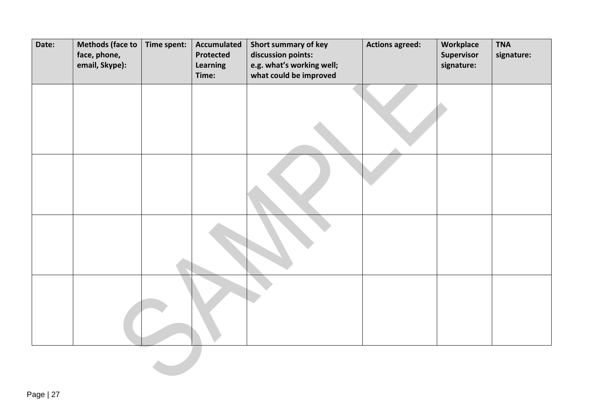| Date: | <b>Methods (face to</b><br>face, phone,<br>email, Skype): | Time spent: | <b>Accumulated</b><br>Protected<br>Learning<br>Time: | Short summary of key<br>discussion points:<br>e.g. what's working well;<br>what could be improved | <b>Actions agreed:</b> | Workplace<br>Supervisor<br>signature: | <b>TNA</b><br>signature: |
|-------|-----------------------------------------------------------|-------------|------------------------------------------------------|---------------------------------------------------------------------------------------------------|------------------------|---------------------------------------|--------------------------|
|       |                                                           |             |                                                      |                                                                                                   |                        |                                       |                          |
|       |                                                           |             |                                                      |                                                                                                   |                        |                                       |                          |
|       |                                                           |             |                                                      |                                                                                                   |                        |                                       |                          |
|       |                                                           |             |                                                      |                                                                                                   |                        |                                       |                          |
|       |                                                           |             |                                                      |                                                                                                   |                        |                                       |                          |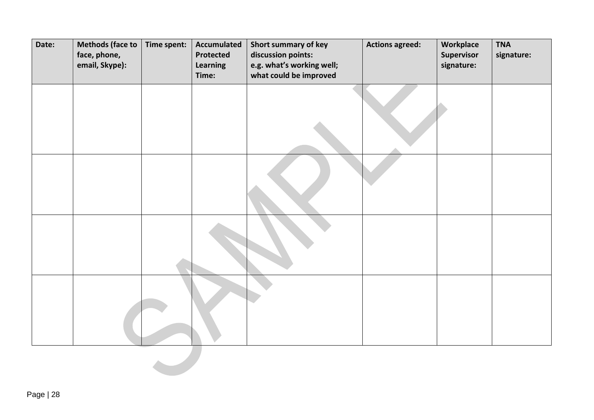| Date: | <b>Methods (face to</b><br>face, phone,<br>email, Skype): | Time spent: | <b>Accumulated</b><br>Protected<br>Learning<br>Time: | Short summary of key<br>discussion points:<br>e.g. what's working well;<br>what could be improved | <b>Actions agreed:</b> | Workplace<br>Supervisor<br>signature: | <b>TNA</b><br>signature: |
|-------|-----------------------------------------------------------|-------------|------------------------------------------------------|---------------------------------------------------------------------------------------------------|------------------------|---------------------------------------|--------------------------|
|       |                                                           |             |                                                      |                                                                                                   |                        |                                       |                          |
|       |                                                           |             |                                                      |                                                                                                   |                        |                                       |                          |
|       |                                                           |             |                                                      |                                                                                                   |                        |                                       |                          |
|       |                                                           |             |                                                      |                                                                                                   |                        |                                       |                          |
|       |                                                           |             |                                                      |                                                                                                   |                        |                                       |                          |